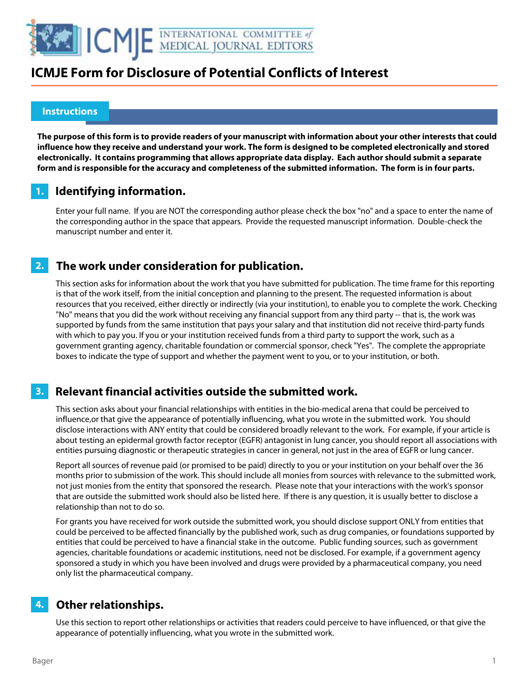

### **Instructions**

l

**The purpose of this form is to provide readers of your manuscript with information about your other interests that could influence how they receive and understand your work. The form is designed to be completed electronically and stored electronically. It contains programming that allows appropriate data display. Each author should submit a separate form and is responsible for the accuracy and completeness of the submitted information. The form is in four parts.** 

### **Identifying information. 1.**

Enter your full name. If you are NOT the corresponding author please check the box "no" and a space to enter the name of the corresponding author in the space that appears. Provide the requested manuscript information. Double-check the manuscript number and enter it.

### **The work under consideration for publication. 2.**

This section asks for information about the work that you have submitted for publication. The time frame for this reporting is that of the work itself, from the initial conception and planning to the present. The requested information is about resources that you received, either directly or indirectly (via your institution), to enable you to complete the work. Checking "No" means that you did the work without receiving any financial support from any third party -- that is, the work was supported by funds from the same institution that pays your salary and that institution did not receive third-party funds with which to pay you. If you or your institution received funds from a third party to support the work, such as a government granting agency, charitable foundation or commercial sponsor, check "Yes". The complete the appropriate boxes to indicate the type of support and whether the payment went to you, or to your institution, or both.

### **Relevant financial activities outside the submitted work. 3.**

This section asks about your financial relationships with entities in the bio-medical arena that could be perceived to influence,or that give the appearance of potentially influencing, what you wrote in the submitted work. You should disclose interactions with ANY entity that could be considered broadly relevant to the work. For example, if your article is about testing an epidermal growth factor receptor (EGFR) antagonist in lung cancer, you should report all associations with entities pursuing diagnostic or therapeutic strategies in cancer in general, not just in the area of EGFR or lung cancer.

Report all sources of revenue paid (or promised to be paid) directly to you or your institution on your behalf over the 36 months prior to submission of the work. This should include all monies from sources with relevance to the submitted work, not just monies from the entity that sponsored the research. Please note that your interactions with the work's sponsor that are outside the submitted work should also be listed here. If there is any question, it is usually better to disclose a relationship than not to do so.

For grants you have received for work outside the submitted work, you should disclose support ONLY from entities that could be perceived to be affected financially by the published work, such as drug companies, or foundations supported by entities that could be perceived to have a financial stake in the outcome. Public funding sources, such as government agencies, charitable foundations or academic institutions, need not be disclosed. For example, if a government agency sponsored a study in which you have been involved and drugs were provided by a pharmaceutical company, you need only list the pharmaceutical company.

### **Other relationships. 4.**

Use this section to report other relationships or activities that readers could perceive to have influenced, or that give the appearance of potentially influencing, what you wrote in the submitted work.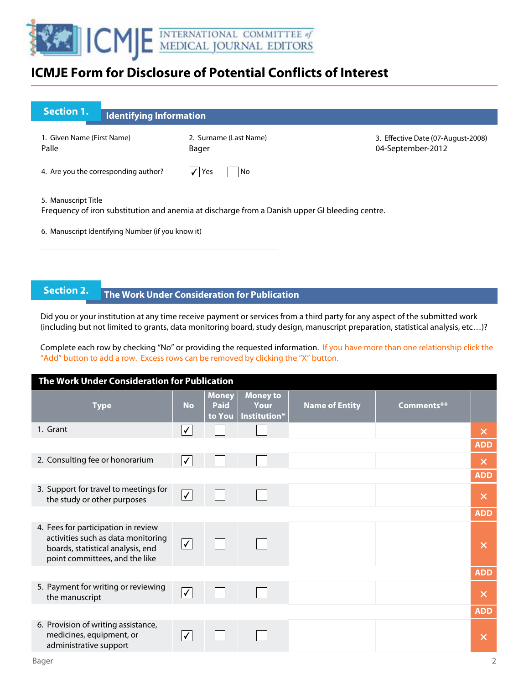

| <b>Section 1.</b>                   | <b>Identifying Information</b>       |                                                                                                |                                                         |
|-------------------------------------|--------------------------------------|------------------------------------------------------------------------------------------------|---------------------------------------------------------|
| 1. Given Name (First Name)<br>Palle |                                      | 2. Surname (Last Name)<br>Bager                                                                | 3. Effective Date (07-August-2008)<br>04-September-2012 |
|                                     | 4. Are you the corresponding author? | Yes<br>No                                                                                      |                                                         |
| 5. Manuscript Title                 |                                      | Frequency of iron substitution and anemia at discharge from a Danish upper GI bleeding centre. |                                                         |

6. Manuscript Identifying Number (if you know it)

## **The Work Under Consideration for Publication**

Did you or your institution at any time receive payment or services from a third party for any aspect of the submitted work (including but not limited to grants, data monitoring board, study design, manuscript preparation, statistical analysis, etc…)?

| The Work Under Consideration for Publication                                                                                                     |                      |                                       |                                         |                       |            |                       |  |  |  |
|--------------------------------------------------------------------------------------------------------------------------------------------------|----------------------|---------------------------------------|-----------------------------------------|-----------------------|------------|-----------------------|--|--|--|
| <b>Type</b>                                                                                                                                      | <b>No</b>            | <b>Money</b><br><b>Paid</b><br>to You | <b>Money to</b><br>Your<br>Institution* | <b>Name of Entity</b> | Comments** |                       |  |  |  |
| 1. Grant                                                                                                                                         | $ \mathcal{V} $      |                                       |                                         |                       |            | $\times$              |  |  |  |
|                                                                                                                                                  |                      |                                       |                                         |                       |            | <b>ADD</b>            |  |  |  |
| 2. Consulting fee or honorarium                                                                                                                  | $ \mathcal{V} $      |                                       |                                         |                       |            | $\times$              |  |  |  |
|                                                                                                                                                  |                      |                                       |                                         |                       |            | <b>ADD</b>            |  |  |  |
| 3. Support for travel to meetings for<br>the study or other purposes                                                                             | $\boxed{\checkmark}$ |                                       |                                         |                       |            | $\times$              |  |  |  |
|                                                                                                                                                  |                      |                                       |                                         |                       |            | <b>ADD</b>            |  |  |  |
| 4. Fees for participation in review<br>activities such as data monitoring<br>boards, statistical analysis, end<br>point committees, and the like | $\boxed{\checkmark}$ |                                       |                                         |                       |            | $\boldsymbol{\times}$ |  |  |  |
|                                                                                                                                                  |                      |                                       |                                         |                       |            | <b>ADD</b>            |  |  |  |
| 5. Payment for writing or reviewing<br>the manuscript                                                                                            | $\boxed{\checkmark}$ |                                       |                                         |                       |            | $\times$              |  |  |  |
|                                                                                                                                                  |                      |                                       |                                         |                       |            | <b>ADD</b>            |  |  |  |
| 6. Provision of writing assistance,<br>medicines, equipment, or<br>administrative support                                                        | $\blacktriangledown$ |                                       |                                         |                       |            | $\times$              |  |  |  |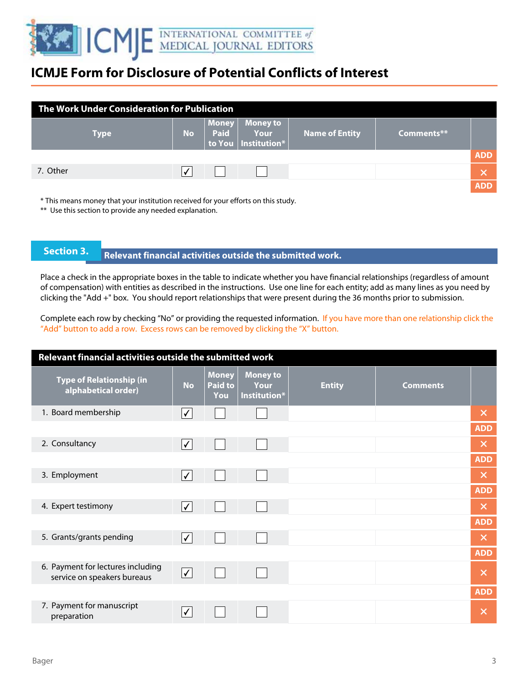

| The Work Under Consideration for Publication |             |           |              |                                                                                                                                      |                       |            |            |  |  |
|----------------------------------------------|-------------|-----------|--------------|--------------------------------------------------------------------------------------------------------------------------------------|-----------------------|------------|------------|--|--|
|                                              | <b>Type</b> | <b>No</b> | <b>Money</b> | Money to<br>$\begin{array}{ c c } \hline \texttt{Pad} & \texttt{Your} \\ \hline \texttt{to You} & \texttt{Institution*} \end{array}$ | <b>Name of Entity</b> | Comments** |            |  |  |
|                                              |             |           |              |                                                                                                                                      |                       |            | <b>ADD</b> |  |  |
| 7. Other                                     |             |           |              |                                                                                                                                      |                       |            | $\times$   |  |  |
|                                              |             |           |              |                                                                                                                                      |                       |            | <b>ADD</b> |  |  |

\* This means money that your institution received for your efforts on this study.

\*\* Use this section to provide any needed explanation.

### **Section 3.** Relevant financial activities outside the submitted work.

Place a check in the appropriate boxes in the table to indicate whether you have financial relationships (regardless of amount of compensation) with entities as described in the instructions. Use one line for each entity; add as many lines as you need by clicking the "Add +" box. You should report relationships that were present during the 36 months prior to submission.

| Relevant financial activities outside the submitted work         |                                 |                                       |                                         |               |                 |                           |  |
|------------------------------------------------------------------|---------------------------------|---------------------------------------|-----------------------------------------|---------------|-----------------|---------------------------|--|
| <b>Type of Relationship (in</b><br>alphabetical order)           | <b>No</b>                       | <b>Money</b><br><b>Paid to</b><br>You | <b>Money to</b><br>Your<br>Institution* | <b>Entity</b> | <b>Comments</b> |                           |  |
| 1. Board membership                                              | $\checkmark$                    |                                       |                                         |               |                 | $\times$                  |  |
|                                                                  |                                 |                                       |                                         |               |                 | <b>ADD</b>                |  |
| 2. Consultancy                                                   | $\blacktriangledown$            |                                       |                                         |               |                 | $\times$                  |  |
|                                                                  |                                 |                                       |                                         |               |                 | <b>ADD</b>                |  |
| 3. Employment                                                    | $\blacktriangledown$            |                                       |                                         |               |                 | $\boldsymbol{\mathsf{x}}$ |  |
|                                                                  |                                 |                                       |                                         |               |                 | <b>ADD</b>                |  |
| 4. Expert testimony                                              | $\blacktriangledown$            |                                       |                                         |               |                 | $\boldsymbol{\mathsf{x}}$ |  |
|                                                                  |                                 |                                       |                                         |               |                 | <b>ADD</b>                |  |
| 5. Grants/grants pending                                         | √                               |                                       |                                         |               |                 | $\boldsymbol{\mathsf{x}}$ |  |
|                                                                  |                                 |                                       |                                         |               |                 | <b>ADD</b>                |  |
| 6. Payment for lectures including<br>service on speakers bureaus | $\overline{\blacktriangledown}$ |                                       |                                         |               |                 | $\times$                  |  |
|                                                                  |                                 |                                       |                                         |               |                 | <b>ADD</b>                |  |
| 7. Payment for manuscript<br>preparation                         | $\checkmark$                    |                                       |                                         |               |                 | $\times$                  |  |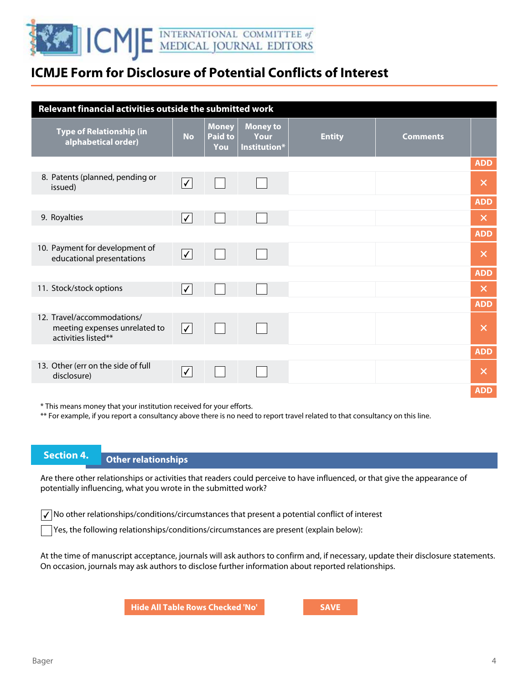

| Relevant financial activities outside the submitted work                           |                           |                                       |                                         |               |                 |                           |  |  |
|------------------------------------------------------------------------------------|---------------------------|---------------------------------------|-----------------------------------------|---------------|-----------------|---------------------------|--|--|
| <b>Type of Relationship (in</b><br>alphabetical order)                             | <b>No</b>                 | <b>Money</b><br><b>Paid to</b><br>You | <b>Money to</b><br>Your<br>Institution* | <b>Entity</b> | <b>Comments</b> |                           |  |  |
|                                                                                    |                           |                                       |                                         |               |                 | <b>ADD</b>                |  |  |
| 8. Patents (planned, pending or<br>issued)                                         | $ \mathcal{V} $           |                                       |                                         |               |                 | $\times$                  |  |  |
|                                                                                    |                           |                                       |                                         |               |                 | <b>ADD</b>                |  |  |
| 9. Royalties                                                                       | $\blacktriangledown$      |                                       |                                         |               |                 | $\boldsymbol{\mathsf{x}}$ |  |  |
|                                                                                    |                           |                                       |                                         |               |                 | <b>ADD</b>                |  |  |
| 10. Payment for development of<br>educational presentations                        | $ \checkmark $            |                                       |                                         |               |                 | $\times$                  |  |  |
|                                                                                    |                           |                                       |                                         |               |                 | <b>ADD</b>                |  |  |
| 11. Stock/stock options                                                            | $\blacktriangledown$      |                                       |                                         |               |                 | $\times$                  |  |  |
|                                                                                    |                           |                                       |                                         |               |                 | <b>ADD</b>                |  |  |
| 12. Travel/accommodations/<br>meeting expenses unrelated to<br>activities listed** | $ \mathcal{V} $           |                                       |                                         |               |                 | $\times$                  |  |  |
|                                                                                    |                           |                                       |                                         |               |                 | <b>ADD</b>                |  |  |
| 13. Other (err on the side of full<br>disclosure)                                  | $ \boldsymbol\checkmark $ |                                       |                                         |               |                 | $\times$                  |  |  |
|                                                                                    |                           |                                       |                                         |               |                 | <b>ADD</b>                |  |  |

\* This means money that your institution received for your efforts.

\*\* For example, if you report a consultancy above there is no need to report travel related to that consultancy on this line.

 **Other relationships Section 4.**

Are there other relationships or activities that readers could perceive to have influenced, or that give the appearance of potentially influencing, what you wrote in the submitted work?

 $\sqrt{\ }$  No other relationships/conditions/circumstances that present a potential conflict of interest

Yes, the following relationships/conditions/circumstances are present (explain below):

At the time of manuscript acceptance, journals will ask authors to confirm and, if necessary, update their disclosure statements. On occasion, journals may ask authors to disclose further information about reported relationships.

**Hide All Table Rows Checked 'No' SAVE**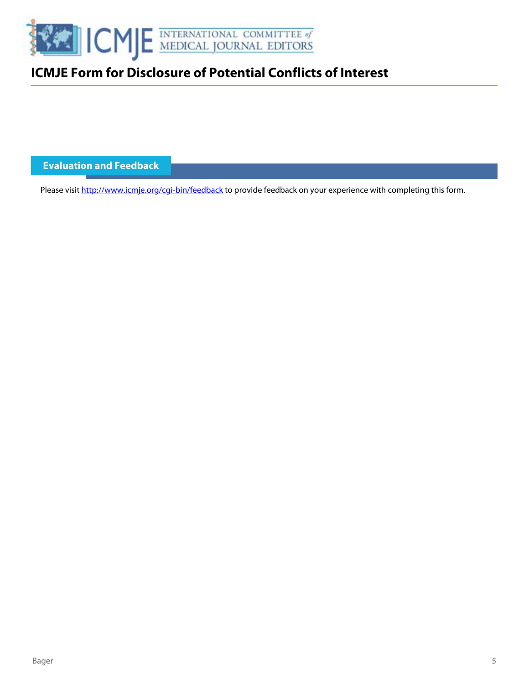

**Evaluation and Feedback**

Please visit http://www.icmje.org/cgi-bin/feedback to provide feedback on your experience with completing this form.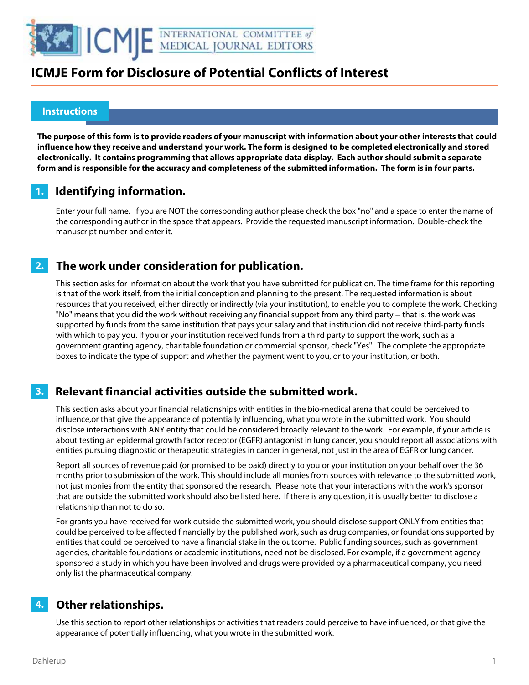

### **Instructions**

l

**The purpose of this form is to provide readers of your manuscript with information about your other interests that could influence how they receive and understand your work. The form is designed to be completed electronically and stored electronically. It contains programming that allows appropriate data display. Each author should submit a separate form and is responsible for the accuracy and completeness of the submitted information. The form is in four parts.** 

### **Identifying information. 1.**

Enter your full name. If you are NOT the corresponding author please check the box "no" and a space to enter the name of the corresponding author in the space that appears. Provide the requested manuscript information. Double-check the manuscript number and enter it.

### **The work under consideration for publication. 2.**

This section asks for information about the work that you have submitted for publication. The time frame for this reporting is that of the work itself, from the initial conception and planning to the present. The requested information is about resources that you received, either directly or indirectly (via your institution), to enable you to complete the work. Checking "No" means that you did the work without receiving any financial support from any third party -- that is, the work was supported by funds from the same institution that pays your salary and that institution did not receive third-party funds with which to pay you. If you or your institution received funds from a third party to support the work, such as a government granting agency, charitable foundation or commercial sponsor, check "Yes". The complete the appropriate boxes to indicate the type of support and whether the payment went to you, or to your institution, or both.

### **Relevant financial activities outside the submitted work. 3.**

This section asks about your financial relationships with entities in the bio-medical arena that could be perceived to influence,or that give the appearance of potentially influencing, what you wrote in the submitted work. You should disclose interactions with ANY entity that could be considered broadly relevant to the work. For example, if your article is about testing an epidermal growth factor receptor (EGFR) antagonist in lung cancer, you should report all associations with entities pursuing diagnostic or therapeutic strategies in cancer in general, not just in the area of EGFR or lung cancer.

Report all sources of revenue paid (or promised to be paid) directly to you or your institution on your behalf over the 36 months prior to submission of the work. This should include all monies from sources with relevance to the submitted work, not just monies from the entity that sponsored the research. Please note that your interactions with the work's sponsor that are outside the submitted work should also be listed here. If there is any question, it is usually better to disclose a relationship than not to do so.

For grants you have received for work outside the submitted work, you should disclose support ONLY from entities that could be perceived to be affected financially by the published work, such as drug companies, or foundations supported by entities that could be perceived to have a financial stake in the outcome. Public funding sources, such as government agencies, charitable foundations or academic institutions, need not be disclosed. For example, if a government agency sponsored a study in which you have been involved and drugs were provided by a pharmaceutical company, you need only list the pharmaceutical company.

### **Other relationships. 4.**

Use this section to report other relationships or activities that readers could perceive to have influenced, or that give the appearance of potentially influencing, what you wrote in the submitted work.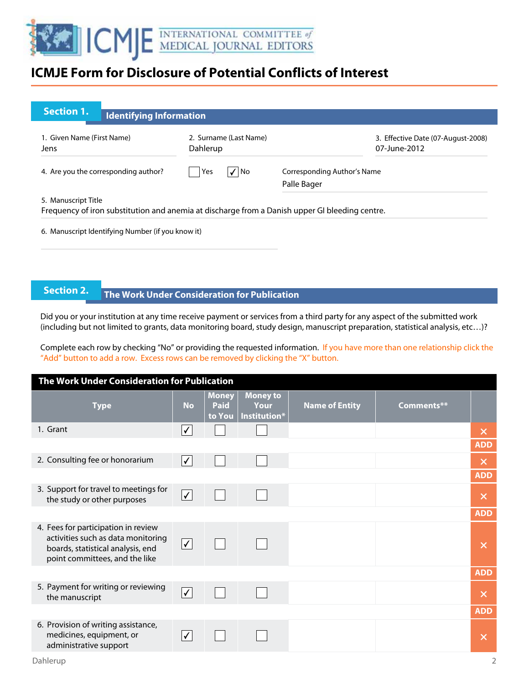

| <b>Section 1.</b>                    | <b>Identifying Information</b> |                                    |                                                                                                |                                                    |
|--------------------------------------|--------------------------------|------------------------------------|------------------------------------------------------------------------------------------------|----------------------------------------------------|
| 1. Given Name (First Name)<br>Jens   |                                | 2. Surname (Last Name)<br>Dahlerup |                                                                                                | 3. Effective Date (07-August-2008)<br>07-June-2012 |
| 4. Are you the corresponding author? |                                | $\sqrt{ NQ}$<br>Yes                | Corresponding Author's Name<br>Palle Bager                                                     |                                                    |
| 5. Manuscript Title                  |                                |                                    | Frequency of iron substitution and anemia at discharge from a Danish upper GI bleeding centre. |                                                    |

6. Manuscript Identifying Number (if you know it)

# **The Work Under Consideration for Publication**

Did you or your institution at any time receive payment or services from a third party for any aspect of the submitted work (including but not limited to grants, data monitoring board, study design, manuscript preparation, statistical analysis, etc…)?

| The Work Under Consideration for Publication                                                                                                     |                                 |                                       |                                         |                       |            |                       |  |  |
|--------------------------------------------------------------------------------------------------------------------------------------------------|---------------------------------|---------------------------------------|-----------------------------------------|-----------------------|------------|-----------------------|--|--|
| <b>Type</b>                                                                                                                                      | <b>No</b>                       | <b>Money</b><br><b>Paid</b><br>to You | <b>Money to</b><br>Your<br>Institution* | <b>Name of Entity</b> | Comments** |                       |  |  |
| 1. Grant                                                                                                                                         | $ \mathcal{V} $                 |                                       |                                         |                       |            | $\times$              |  |  |
|                                                                                                                                                  |                                 |                                       |                                         |                       |            | <b>ADD</b>            |  |  |
| 2. Consulting fee or honorarium                                                                                                                  | $ \mathcal{V} $                 |                                       |                                         |                       |            | $\times$              |  |  |
|                                                                                                                                                  |                                 |                                       |                                         |                       |            | <b>ADD</b>            |  |  |
| 3. Support for travel to meetings for<br>the study or other purposes                                                                             | $\overline{\blacktriangledown}$ |                                       |                                         |                       |            | $\times$              |  |  |
|                                                                                                                                                  |                                 |                                       |                                         |                       |            | <b>ADD</b>            |  |  |
| 4. Fees for participation in review<br>activities such as data monitoring<br>boards, statistical analysis, end<br>point committees, and the like | $\boxed{\checkmark}$            |                                       |                                         |                       |            | $\times$              |  |  |
|                                                                                                                                                  |                                 |                                       |                                         |                       |            | <b>ADD</b>            |  |  |
| 5. Payment for writing or reviewing<br>the manuscript                                                                                            | $\boxed{\checkmark}$            |                                       |                                         |                       |            | $\boldsymbol{\times}$ |  |  |
|                                                                                                                                                  |                                 |                                       |                                         |                       |            | <b>ADD</b>            |  |  |
| 6. Provision of writing assistance,<br>medicines, equipment, or<br>administrative support                                                        | $\blacktriangledown$            |                                       |                                         |                       |            | $\times$              |  |  |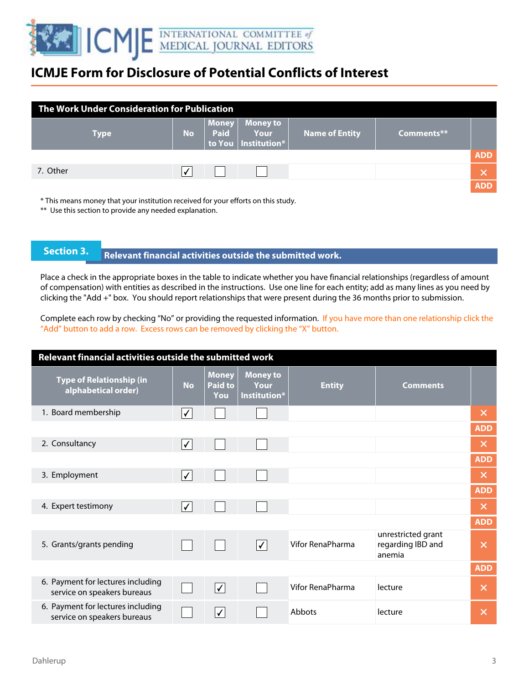

| The Work Under Consideration for Publication |             |           |              |                                                                                                                                      |                       |            |            |  |  |
|----------------------------------------------|-------------|-----------|--------------|--------------------------------------------------------------------------------------------------------------------------------------|-----------------------|------------|------------|--|--|
|                                              | <b>Type</b> | <b>No</b> | <b>Money</b> | Money to<br>$\begin{array}{ c c } \hline \texttt{Pad} & \texttt{Your} \\ \hline \texttt{to You} & \texttt{Institution*} \end{array}$ | <b>Name of Entity</b> | Comments** |            |  |  |
|                                              |             |           |              |                                                                                                                                      |                       |            | <b>ADD</b> |  |  |
| 7. Other                                     |             |           |              |                                                                                                                                      |                       |            | $\times$   |  |  |
|                                              |             |           |              |                                                                                                                                      |                       |            | <b>ADD</b> |  |  |

\* This means money that your institution received for your efforts on this study.

\*\* Use this section to provide any needed explanation.

### **Section 3.** Relevant financial activities outside the submitted work.

Place a check in the appropriate boxes in the table to indicate whether you have financial relationships (regardless of amount of compensation) with entities as described in the instructions. Use one line for each entity; add as many lines as you need by clicking the "Add +" box. You should report relationships that were present during the 36 months prior to submission.

| Relevant financial activities outside the submitted work         |                      |                                       |                                         |                  |                                                   |                           |  |  |
|------------------------------------------------------------------|----------------------|---------------------------------------|-----------------------------------------|------------------|---------------------------------------------------|---------------------------|--|--|
| <b>Type of Relationship (in</b><br>alphabetical order)           | <b>No</b>            | <b>Money</b><br><b>Paid to</b><br>You | <b>Money to</b><br>Your<br>Institution* | <b>Entity</b>    | <b>Comments</b>                                   |                           |  |  |
| 1. Board membership                                              | $\blacktriangledown$ |                                       |                                         |                  |                                                   | $\times$                  |  |  |
|                                                                  |                      |                                       |                                         |                  |                                                   | <b>ADD</b>                |  |  |
| 2. Consultancy                                                   | $\checkmark$         |                                       |                                         |                  |                                                   | $\boldsymbol{\mathsf{x}}$ |  |  |
|                                                                  |                      |                                       |                                         |                  |                                                   | <b>ADD</b>                |  |  |
| 3. Employment                                                    | $\blacktriangledown$ |                                       |                                         |                  |                                                   | $\boldsymbol{\mathsf{x}}$ |  |  |
|                                                                  |                      |                                       |                                         |                  |                                                   | <b>ADD</b>                |  |  |
| 4. Expert testimony                                              | $\checkmark$         |                                       |                                         |                  |                                                   | $\times$                  |  |  |
|                                                                  |                      |                                       |                                         |                  |                                                   | <b>ADD</b>                |  |  |
| 5. Grants/grants pending                                         |                      |                                       | $\blacktriangledown$                    | Vifor RenaPharma | unrestricted grant<br>regarding IBD and<br>anemia | $\boldsymbol{\mathsf{x}}$ |  |  |
|                                                                  |                      |                                       |                                         |                  |                                                   | <b>ADD</b>                |  |  |
| 6. Payment for lectures including<br>service on speakers bureaus |                      | $ \mathcal{V} $                       |                                         | Vifor RenaPharma | lecture                                           | $\times$                  |  |  |
| 6. Payment for lectures including<br>service on speakers bureaus |                      | $\checkmark$                          |                                         | Abbots           | lecture                                           | $\times$                  |  |  |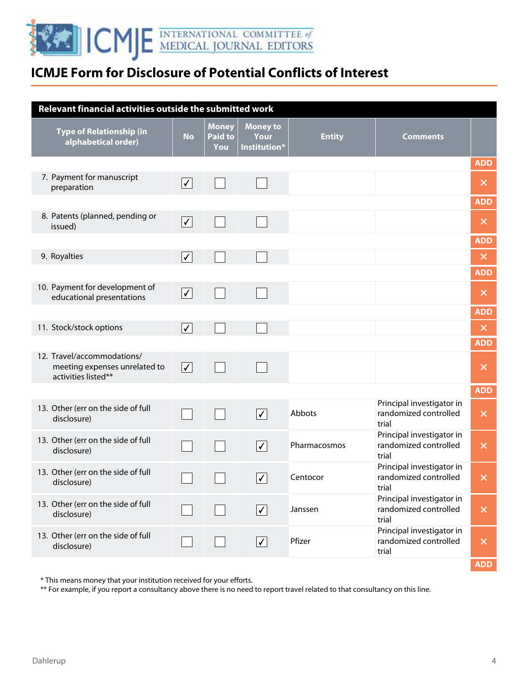

| Relevant financial activities outside the submitted work                           |                                |                                       |                                         |               |                                                             |                       |  |  |
|------------------------------------------------------------------------------------|--------------------------------|---------------------------------------|-----------------------------------------|---------------|-------------------------------------------------------------|-----------------------|--|--|
| <b>Type of Relationship (in</b><br>alphabetical order)                             | <b>No</b>                      | <b>Money</b><br><b>Paid to</b><br>You | <b>Money to</b><br>Your<br>Institution* | <b>Entity</b> | <b>Comments</b>                                             |                       |  |  |
|                                                                                    |                                |                                       |                                         |               |                                                             | <b>ADD</b>            |  |  |
| 7. Payment for manuscript<br>preparation                                           | $ \boldsymbol{\checkmark} $    |                                       |                                         |               |                                                             | ×                     |  |  |
|                                                                                    |                                |                                       |                                         |               |                                                             | <b>ADD</b>            |  |  |
| 8. Patents (planned, pending or<br>issued)                                         | $\vert\blacktriangledown\vert$ |                                       |                                         |               |                                                             | $\times$              |  |  |
|                                                                                    |                                |                                       |                                         |               |                                                             | <b>ADD</b>            |  |  |
| 9. Royalties                                                                       | $\blacktriangledown$           |                                       |                                         |               |                                                             | $\times$              |  |  |
|                                                                                    |                                |                                       |                                         |               |                                                             | <b>ADD</b>            |  |  |
| 10. Payment for development of<br>educational presentations                        | $\vert \checkmark \vert$       |                                       |                                         |               |                                                             | $\times$              |  |  |
|                                                                                    |                                |                                       |                                         |               |                                                             | <b>ADD</b>            |  |  |
| 11. Stock/stock options                                                            | $\blacktriangledown$           |                                       |                                         |               |                                                             | $\boldsymbol{\times}$ |  |  |
|                                                                                    |                                |                                       |                                         |               |                                                             | <b>ADD</b>            |  |  |
| 12. Travel/accommodations/<br>meeting expenses unrelated to<br>activities listed** | $\vert\blacktriangledown\vert$ |                                       |                                         |               |                                                             | $\times$              |  |  |
|                                                                                    |                                |                                       |                                         |               |                                                             | <b>ADD</b>            |  |  |
| 13. Other (err on the side of full<br>disclosure)                                  |                                |                                       | $\overline{\blacktriangledown}$         | Abbots        | Principal investigator in<br>randomized controlled<br>trial | $\times$              |  |  |
| 13. Other (err on the side of full                                                 |                                |                                       |                                         |               | Principal investigator in                                   |                       |  |  |
| disclosure)                                                                        |                                |                                       | $ \boldsymbol\checkmark $               | Pharmacosmos  | randomized controlled<br>trial                              | $\times$              |  |  |
| 13. Other (err on the side of full<br>disclosure)                                  |                                |                                       | $\checkmark$                            | Centocor      | Principal investigator in<br>randomized controlled<br>trial | $\times$              |  |  |
| 13. Other (err on the side of full<br>disclosure)                                  |                                |                                       | $ \mathcal{V} $                         | Janssen       | Principal investigator in<br>randomized controlled<br>trial | $\pmb{\times}$        |  |  |
| 13. Other (err on the side of full<br>disclosure)                                  |                                |                                       | $ \checkmark $                          | Pfizer        | Principal investigator in<br>randomized controlled<br>trial | $\pmb{\times}$        |  |  |
|                                                                                    |                                |                                       |                                         |               |                                                             | <b>ADD</b>            |  |  |

\* This means money that your institution received for your efforts.

\*\* For example, if you report a consultancy above there is no need to report travel related to that consultancy on this line.